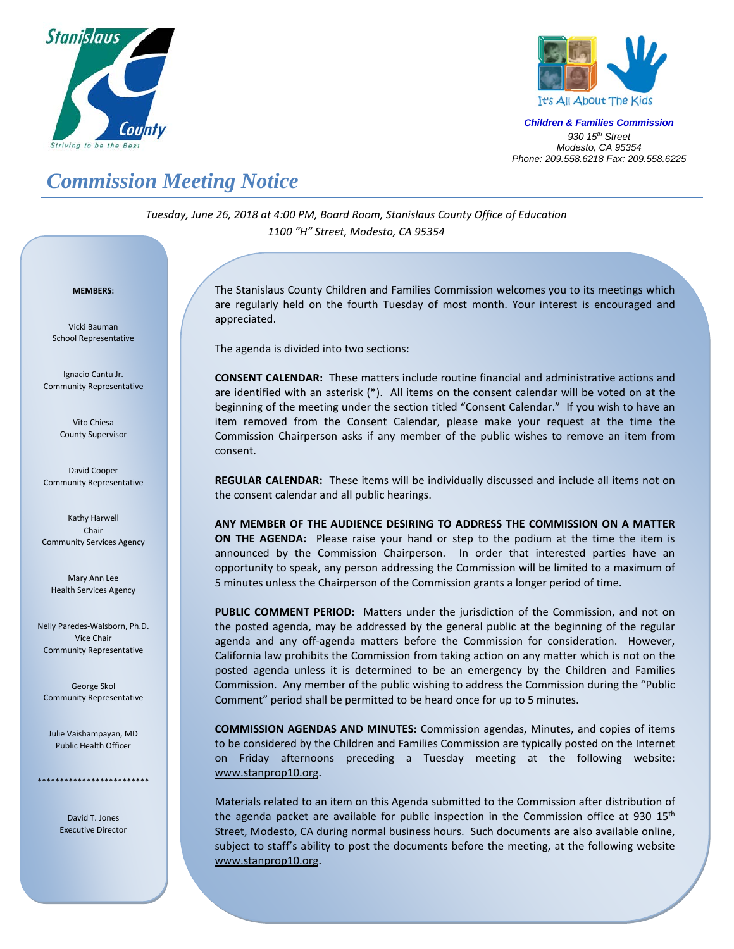



*Children & Families Commission 930 15th Street Modesto, CA 95354 Phone: 209.558.6218 Fax: 209.558.6225*

## *Commission Meeting Notice*

*Tuesday, June 26, 2018 at 4:00 PM, Board Room, Stanislaus County Office of Education 1100 "H" Street, Modesto, CA 95354*

## *<sup>U</sup>***MEMBERS:**

Vicki Bauman School Representative

Ignacio Cantu Jr. Community Representative

> Vito Chiesa County Supervisor

David Cooper Community Representative

Kathy Harwell Chair Community Services Agency

Mary Ann Lee Health Services Agency

Nelly Paredes-Walsborn, Ph.D. Vice Chair Community Representative

George Skol Community Representative

Julie Vaishampayan, MD Public Health Officer

\*\*\*\*\*\*\*\*\*\*\*\*\*\*\*\*\*\*\*\*\*\*\*\*\*

David T. Jones Executive Director

The Stanislaus County Children and Families Commission welcomes you to its meetings which are regularly held on the fourth Tuesday of most month. Your interest is encouraged and appreciated.

The agenda is divided into two sections:

**CONSENT CALENDAR:** These matters include routine financial and administrative actions and are identified with an asterisk (\*). All items on the consent calendar will be voted on at the beginning of the meeting under the section titled "Consent Calendar." If you wish to have an item removed from the Consent Calendar, please make your request at the time the Commission Chairperson asks if any member of the public wishes to remove an item from consent.

**REGULAR CALENDAR:** These items will be individually discussed and include all items not on the consent calendar and all public hearings.

**ANY MEMBER OF THE AUDIENCE DESIRING TO ADDRESS THE COMMISSION ON A MATTER ON THE AGENDA:** Please raise your hand or step to the podium at the time the item is announced by the Commission Chairperson. In order that interested parties have an opportunity to speak, any person addressing the Commission will be limited to a maximum of 5 minutes unless the Chairperson of the Commission grants a longer period of time.

**PUBLIC COMMENT PERIOD:** Matters under the jurisdiction of the Commission, and not on the posted agenda, may be addressed by the general public at the beginning of the regular agenda and any off-agenda matters before the Commission for consideration. However, California law prohibits the Commission from taking action on any matter which is not on the posted agenda unless it is determined to be an emergency by the Children and Families Commission. Any member of the public wishing to address the Commission during the "Public Comment" period shall be permitted to be heard once for up to 5 minutes.

**COMMISSION AGENDAS AND MINUTES:** Commission agendas, Minutes, and copies of items to be considered by the Children and Families Commission are typically posted on the Internet on Friday afternoons preceding a Tuesday meeting at the following website: [www.stanprop10.org](http://www.stanprop10.org/).

Materials related to an item on this Agenda submitted to the Commission after distribution of the agenda packet are available for public inspection in the Commission office at 930  $15<sup>th</sup>$ Street, Modesto, CA during normal business hours. Such documents are also available online, subject to staff's ability to post the documents before the meeting, at the following website [www.stanprop10.org](http://www.stanprop10.org/).